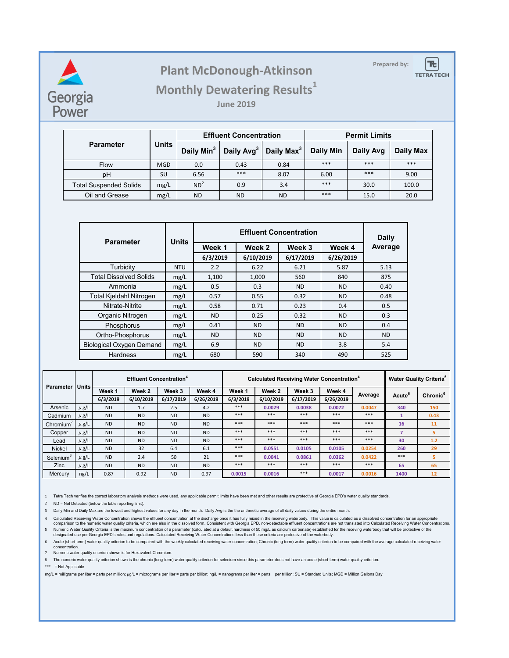

## **Prepared by: Plant McDonough-Atkinson**



## **Monthly Dewatering Results<sup>1</sup>**

**June 2019**

|                               | <b>Units</b> |                        | <b>Effluent Concentration</b> |                        | <b>Permit Limits</b> |           |           |  |
|-------------------------------|--------------|------------------------|-------------------------------|------------------------|----------------------|-----------|-----------|--|
| <b>Parameter</b>              |              | Daily Min <sup>3</sup> | Daily Avg <sup>3</sup>        | Daily Max <sup>3</sup> | Daily Min            | Daily Avg | Daily Max |  |
| Flow                          | <b>MGD</b>   | 0.0                    | 0.43                          | 0.84                   | ***                  | ***       | $***$     |  |
| pH                            | SU           | 6.56                   | ***                           | 8.07                   | 6.00                 | ***       | 9.00      |  |
| <b>Total Suspended Solids</b> | mg/L         | ND <sup>2</sup>        | 0.9                           | 3.4                    | ***                  | 30.0      | 100.0     |  |
| Oil and Grease                | mg/L         | <b>ND</b>              | <b>ND</b>                     | <b>ND</b>              | ***                  | 15.0      | 20.0      |  |

| <b>Parameter</b>                | <b>Units</b> |           | Daily     |           |           |           |
|---------------------------------|--------------|-----------|-----------|-----------|-----------|-----------|
|                                 |              | Week 1    | Week 2    | Week 3    | Week 4    | Average   |
|                                 |              | 6/3/2019  | 6/10/2019 | 6/17/2019 | 6/26/2019 |           |
| Turbidity                       | <b>NTU</b>   | 2.2       | 6.22      | 6.21      | 5.87      | 5.13      |
| <b>Total Dissolved Solids</b>   | mg/L         | 1,100     | 1,000     | 560       | 840       | 875       |
| Ammonia                         | mg/L         | 0.5       | 0.3       | ND.       | <b>ND</b> | 0.40      |
| <b>Total Kjeldahl Nitrogen</b>  | mg/L         | 0.57      | 0.55      | 0.32      | <b>ND</b> | 0.48      |
| Nitrate-Nitrite                 | mg/L         | 0.58      | 0.71      | 0.23      | 0.4       | 0.5       |
| Organic Nitrogen                | mg/L         | <b>ND</b> | 0.25      | 0.32      | <b>ND</b> | 0.3       |
| Phosphorus                      | mg/L         | 0.41      | <b>ND</b> | ND.       | <b>ND</b> | 0.4       |
| Ortho-Phosphorus                | mg/L         | <b>ND</b> | <b>ND</b> | <b>ND</b> | <b>ND</b> | <b>ND</b> |
| <b>Biological Oxygen Demand</b> | mg/L         | 6.9       | <b>ND</b> | <b>ND</b> | 3.8       | 5.4       |
| Hardness                        | mg/L         | 680       | 590       | 340       | 490       | 525       |

| Parameter             | <b>Units</b> | <b>Effluent Concentration<sup>4</sup></b> |           |           |           | Calculated Receiving Water Concentration <sup>4</sup> |           |           |           |         | <b>Water Quality Criteria<sup>5</sup></b> |                      |
|-----------------------|--------------|-------------------------------------------|-----------|-----------|-----------|-------------------------------------------------------|-----------|-----------|-----------|---------|-------------------------------------------|----------------------|
|                       |              | Week 1                                    | Week 2    | Week 3    | Week 4    | Week 1                                                | Week 2    | Week 3    | Week 4    | Average | Acute <sup>6</sup>                        | Chronic <sup>6</sup> |
|                       |              | 6/3/2019                                  | 6/10/2019 | 6/17/2019 | 6/26/2019 | 6/3/2019                                              | 6/10/2019 | 6/17/2019 | 6/26/2019 |         |                                           |                      |
| Arsenic               | $\mu$ g/L    | <b>ND</b>                                 | 1.7       | 2.5       | 4.2       | ***                                                   | 0.0029    | 0.0038    | 0.0072    | 0.0047  | 340                                       | 150                  |
| Cadmium               | $\mu$ g/L    | <b>ND</b>                                 | <b>ND</b> | <b>ND</b> | <b>ND</b> | ***                                                   | ***       | ***       | ***       | ***     |                                           | 0.43                 |
| Chromium <sup>®</sup> | $\mu$ g/L    | <b>ND</b>                                 | <b>ND</b> | <b>ND</b> | <b>ND</b> | ***                                                   | ***       | ***       | ***       | ***     | 16                                        | 11                   |
| Copper                | $\mu$ g/L    | <b>ND</b>                                 | <b>ND</b> | <b>ND</b> | <b>ND</b> | ***                                                   | ***       | ***       | ***       | ***     | $\overline{7}$                            | 5.                   |
| Lead                  | $\mu$ g/L    | <b>ND</b>                                 | <b>ND</b> | <b>ND</b> | <b>ND</b> | ***                                                   | ***       | ***       | ***       | ***     | 30                                        | 1.2                  |
| <b>Nickel</b>         | $\mu$ g/L    | <b>ND</b>                                 | 32        | 6.4       | 6.1       | ***                                                   | 0.0551    | 0.0105    | 0.0105    | 0.0254  | 260                                       | 29                   |
| Selenium              | $\mu$ g/L    | <b>ND</b>                                 | 2.4       | 50        | 21        | ***                                                   | 0.0041    | 0.0861    | 0.0362    | 0.0422  | ***                                       | 5                    |
| Zinc                  | $\mu$ g/L    | <b>ND</b>                                 | <b>ND</b> | <b>ND</b> | <b>ND</b> | ***                                                   | ***       | ***       | ***       | ***     | 65                                        | 65                   |
| Mercury               | ng/L         | 0.87                                      | 0.92      | <b>ND</b> | 0.97      | 0.0015                                                | 0.0016    | ***       | 0.0017    | 0.0016  | 1400                                      | 12                   |

1 Tetra Tech verifies the correct laboratory analysis methods were used, any applicable permit limits have been met and other results are protective of Georgia EPD's water quality standards.

2 ND = Not Detected (below the lab's reporting limit).

3 Daily Min and Daily Max are the lowest and highest values for any day in the month. Daily Avg is the the arithmetic average of all daily values during the entire month.

4 Calculated Receiving Water Concentration shows the effluent concentration at the discharge once it has fully mixed in the receiving waterbody. This value is calculated as a dissolved concentration for an appropriate comparison to the numeric water quality criteria, which are also in the dissolved form. Consistent with Georgia EPD, non-detectable effluent concentrations are not translated into Calculated Receiving Water Concentrations.

designated use per Georgia EPD's rules and regulations. Calculated Receiving Water Concentrations less than these criteria are protective of the waterbody.

6 Acute (short-term) water quality criterion to be compaired with the weekly calculated receiving water concentration; Chronic (long-term) water quality criterion to be compaired with the average calculated receiving water concentration.

7 Numeric water quality criterion shown is for Hexavalent Chromium.

8 The numeric water quality criterion shown is the chronic (long-term) water quality criterion for selenium since this parameter does not have an acute (short-term) water quality criterion.

\*\*\* = Not Applicable

mg/L = milligrams per liter = parts per million; µg/L = micrograms per liter = parts per billion; ng/L = nanograms per liter = parts per trillion; SU = Standard Units; MGD = Million Gallons Day